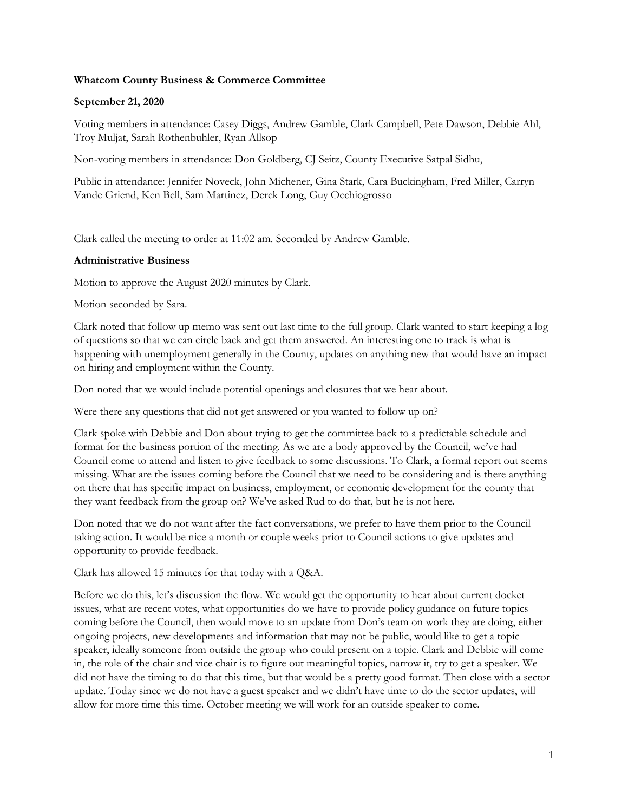# **Whatcom County Business & Commerce Committee**

## **September 21, 2020**

Voting members in attendance: Casey Diggs, Andrew Gamble, Clark Campbell, Pete Dawson, Debbie Ahl, Troy Muljat, Sarah Rothenbuhler, Ryan Allsop

Non-voting members in attendance: Don Goldberg, CJ Seitz, County Executive Satpal Sidhu,

Public in attendance: Jennifer Noveck, John Michener, Gina Stark, Cara Buckingham, Fred Miller, Carryn Vande Griend, Ken Bell, Sam Martinez, Derek Long, Guy Occhiogrosso

Clark called the meeting to order at 11:02 am. Seconded by Andrew Gamble.

### **Administrative Business**

Motion to approve the August 2020 minutes by Clark.

Motion seconded by Sara.

Clark noted that follow up memo was sent out last time to the full group. Clark wanted to start keeping a log of questions so that we can circle back and get them answered. An interesting one to track is what is happening with unemployment generally in the County, updates on anything new that would have an impact on hiring and employment within the County.

Don noted that we would include potential openings and closures that we hear about.

Were there any questions that did not get answered or you wanted to follow up on?

Clark spoke with Debbie and Don about trying to get the committee back to a predictable schedule and format for the business portion of the meeting. As we are a body approved by the Council, we've had Council come to attend and listen to give feedback to some discussions. To Clark, a formal report out seems missing. What are the issues coming before the Council that we need to be considering and is there anything on there that has specific impact on business, employment, or economic development for the county that they want feedback from the group on? We've asked Rud to do that, but he is not here.

Don noted that we do not want after the fact conversations, we prefer to have them prior to the Council taking action. It would be nice a month or couple weeks prior to Council actions to give updates and opportunity to provide feedback.

Clark has allowed 15 minutes for that today with a Q&A.

Before we do this, let's discussion the flow. We would get the opportunity to hear about current docket issues, what are recent votes, what opportunities do we have to provide policy guidance on future topics coming before the Council, then would move to an update from Don's team on work they are doing, either ongoing projects, new developments and information that may not be public, would like to get a topic speaker, ideally someone from outside the group who could present on a topic. Clark and Debbie will come in, the role of the chair and vice chair is to figure out meaningful topics, narrow it, try to get a speaker. We did not have the timing to do that this time, but that would be a pretty good format. Then close with a sector update. Today since we do not have a guest speaker and we didn't have time to do the sector updates, will allow for more time this time. October meeting we will work for an outside speaker to come.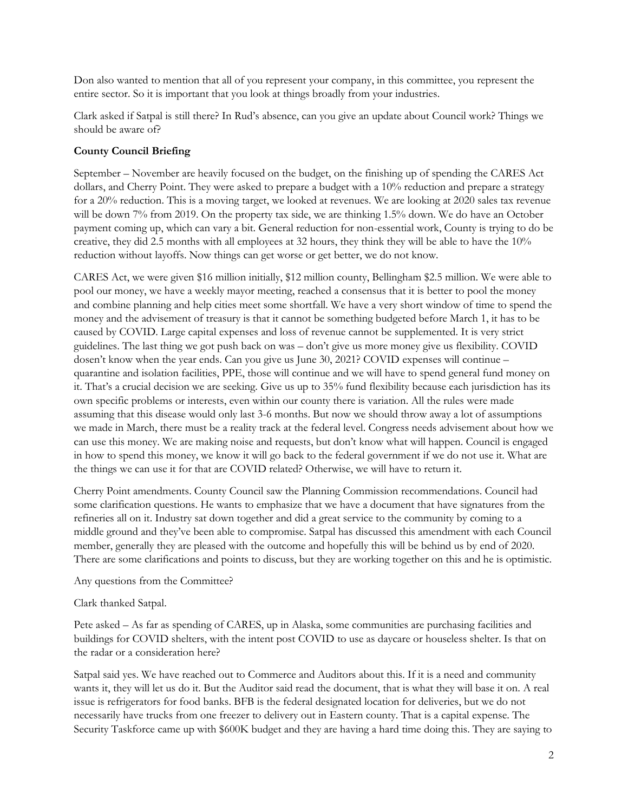Don also wanted to mention that all of you represent your company, in this committee, you represent the entire sector. So it is important that you look at things broadly from your industries.

Clark asked if Satpal is still there? In Rud's absence, can you give an update about Council work? Things we should be aware of?

# **County Council Briefing**

September – November are heavily focused on the budget, on the finishing up of spending the CARES Act dollars, and Cherry Point. They were asked to prepare a budget with a 10% reduction and prepare a strategy for a 20% reduction. This is a moving target, we looked at revenues. We are looking at 2020 sales tax revenue will be down 7% from 2019. On the property tax side, we are thinking 1.5% down. We do have an October payment coming up, which can vary a bit. General reduction for non-essential work, County is trying to do be creative, they did 2.5 months with all employees at 32 hours, they think they will be able to have the 10% reduction without layoffs. Now things can get worse or get better, we do not know.

CARES Act, we were given \$16 million initially, \$12 million county, Bellingham \$2.5 million. We were able to pool our money, we have a weekly mayor meeting, reached a consensus that it is better to pool the money and combine planning and help cities meet some shortfall. We have a very short window of time to spend the money and the advisement of treasury is that it cannot be something budgeted before March 1, it has to be caused by COVID. Large capital expenses and loss of revenue cannot be supplemented. It is very strict guidelines. The last thing we got push back on was – don't give us more money give us flexibility. COVID dosen't know when the year ends. Can you give us June 30, 2021? COVID expenses will continue – quarantine and isolation facilities, PPE, those will continue and we will have to spend general fund money on it. That's a crucial decision we are seeking. Give us up to 35% fund flexibility because each jurisdiction has its own specific problems or interests, even within our county there is variation. All the rules were made assuming that this disease would only last 3-6 months. But now we should throw away a lot of assumptions we made in March, there must be a reality track at the federal level. Congress needs advisement about how we can use this money. We are making noise and requests, but don't know what will happen. Council is engaged in how to spend this money, we know it will go back to the federal government if we do not use it. What are the things we can use it for that are COVID related? Otherwise, we will have to return it.

Cherry Point amendments. County Council saw the Planning Commission recommendations. Council had some clarification questions. He wants to emphasize that we have a document that have signatures from the refineries all on it. Industry sat down together and did a great service to the community by coming to a middle ground and they've been able to compromise. Satpal has discussed this amendment with each Council member, generally they are pleased with the outcome and hopefully this will be behind us by end of 2020. There are some clarifications and points to discuss, but they are working together on this and he is optimistic.

Any questions from the Committee?

Clark thanked Satpal.

Pete asked – As far as spending of CARES, up in Alaska, some communities are purchasing facilities and buildings for COVID shelters, with the intent post COVID to use as daycare or houseless shelter. Is that on the radar or a consideration here?

Satpal said yes. We have reached out to Commerce and Auditors about this. If it is a need and community wants it, they will let us do it. But the Auditor said read the document, that is what they will base it on. A real issue is refrigerators for food banks. BFB is the federal designated location for deliveries, but we do not necessarily have trucks from one freezer to delivery out in Eastern county. That is a capital expense. The Security Taskforce came up with \$600K budget and they are having a hard time doing this. They are saying to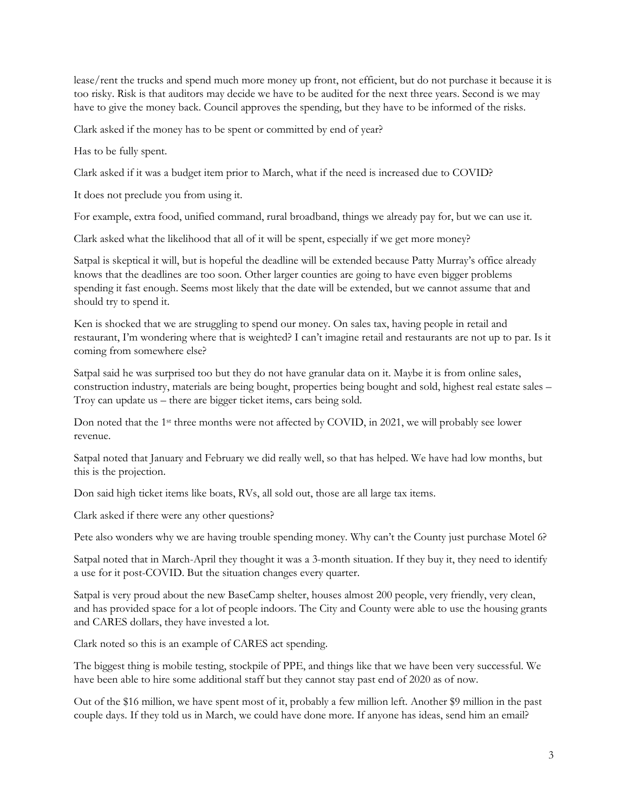lease/rent the trucks and spend much more money up front, not efficient, but do not purchase it because it is too risky. Risk is that auditors may decide we have to be audited for the next three years. Second is we may have to give the money back. Council approves the spending, but they have to be informed of the risks.

Clark asked if the money has to be spent or committed by end of year?

Has to be fully spent.

Clark asked if it was a budget item prior to March, what if the need is increased due to COVID?

It does not preclude you from using it.

For example, extra food, unified command, rural broadband, things we already pay for, but we can use it.

Clark asked what the likelihood that all of it will be spent, especially if we get more money?

Satpal is skeptical it will, but is hopeful the deadline will be extended because Patty Murray's office already knows that the deadlines are too soon. Other larger counties are going to have even bigger problems spending it fast enough. Seems most likely that the date will be extended, but we cannot assume that and should try to spend it.

Ken is shocked that we are struggling to spend our money. On sales tax, having people in retail and restaurant, I'm wondering where that is weighted? I can't imagine retail and restaurants are not up to par. Is it coming from somewhere else?

Satpal said he was surprised too but they do not have granular data on it. Maybe it is from online sales, construction industry, materials are being bought, properties being bought and sold, highest real estate sales – Troy can update us – there are bigger ticket items, cars being sold.

Don noted that the 1st three months were not affected by COVID, in 2021, we will probably see lower revenue.

Satpal noted that January and February we did really well, so that has helped. We have had low months, but this is the projection.

Don said high ticket items like boats, RVs, all sold out, those are all large tax items.

Clark asked if there were any other questions?

Pete also wonders why we are having trouble spending money. Why can't the County just purchase Motel 6?

Satpal noted that in March-April they thought it was a 3-month situation. If they buy it, they need to identify a use for it post-COVID. But the situation changes every quarter.

Satpal is very proud about the new BaseCamp shelter, houses almost 200 people, very friendly, very clean, and has provided space for a lot of people indoors. The City and County were able to use the housing grants and CARES dollars, they have invested a lot.

Clark noted so this is an example of CARES act spending.

The biggest thing is mobile testing, stockpile of PPE, and things like that we have been very successful. We have been able to hire some additional staff but they cannot stay past end of 2020 as of now.

Out of the \$16 million, we have spent most of it, probably a few million left. Another \$9 million in the past couple days. If they told us in March, we could have done more. If anyone has ideas, send him an email?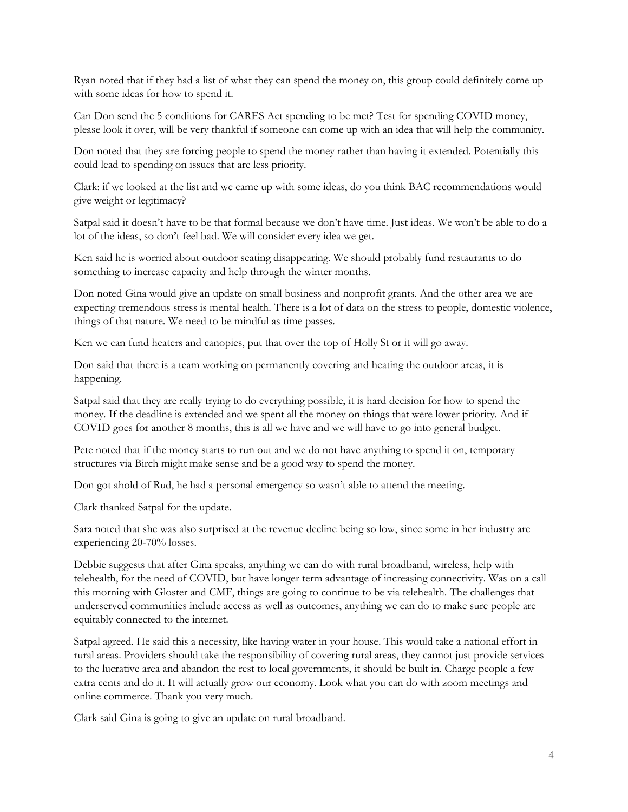Ryan noted that if they had a list of what they can spend the money on, this group could definitely come up with some ideas for how to spend it.

Can Don send the 5 conditions for CARES Act spending to be met? Test for spending COVID money, please look it over, will be very thankful if someone can come up with an idea that will help the community.

Don noted that they are forcing people to spend the money rather than having it extended. Potentially this could lead to spending on issues that are less priority.

Clark: if we looked at the list and we came up with some ideas, do you think BAC recommendations would give weight or legitimacy?

Satpal said it doesn't have to be that formal because we don't have time. Just ideas. We won't be able to do a lot of the ideas, so don't feel bad. We will consider every idea we get.

Ken said he is worried about outdoor seating disappearing. We should probably fund restaurants to do something to increase capacity and help through the winter months.

Don noted Gina would give an update on small business and nonprofit grants. And the other area we are expecting tremendous stress is mental health. There is a lot of data on the stress to people, domestic violence, things of that nature. We need to be mindful as time passes.

Ken we can fund heaters and canopies, put that over the top of Holly St or it will go away.

Don said that there is a team working on permanently covering and heating the outdoor areas, it is happening.

Satpal said that they are really trying to do everything possible, it is hard decision for how to spend the money. If the deadline is extended and we spent all the money on things that were lower priority. And if COVID goes for another 8 months, this is all we have and we will have to go into general budget.

Pete noted that if the money starts to run out and we do not have anything to spend it on, temporary structures via Birch might make sense and be a good way to spend the money.

Don got ahold of Rud, he had a personal emergency so wasn't able to attend the meeting.

Clark thanked Satpal for the update.

Sara noted that she was also surprised at the revenue decline being so low, since some in her industry are experiencing 20-70% losses.

Debbie suggests that after Gina speaks, anything we can do with rural broadband, wireless, help with telehealth, for the need of COVID, but have longer term advantage of increasing connectivity. Was on a call this morning with Gloster and CMF, things are going to continue to be via telehealth. The challenges that underserved communities include access as well as outcomes, anything we can do to make sure people are equitably connected to the internet.

Satpal agreed. He said this a necessity, like having water in your house. This would take a national effort in rural areas. Providers should take the responsibility of covering rural areas, they cannot just provide services to the lucrative area and abandon the rest to local governments, it should be built in. Charge people a few extra cents and do it. It will actually grow our economy. Look what you can do with zoom meetings and online commerce. Thank you very much.

Clark said Gina is going to give an update on rural broadband.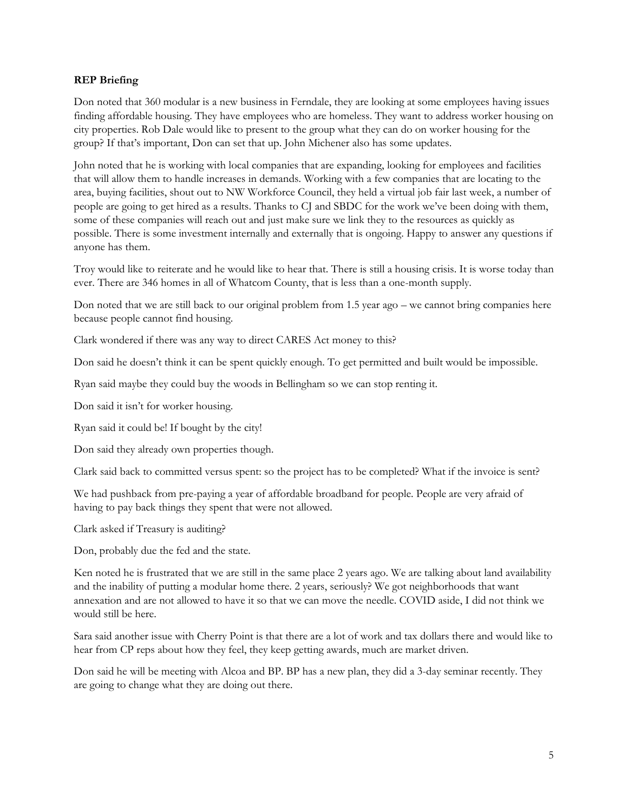# **REP Briefing**

Don noted that 360 modular is a new business in Ferndale, they are looking at some employees having issues finding affordable housing. They have employees who are homeless. They want to address worker housing on city properties. Rob Dale would like to present to the group what they can do on worker housing for the group? If that's important, Don can set that up. John Michener also has some updates.

John noted that he is working with local companies that are expanding, looking for employees and facilities that will allow them to handle increases in demands. Working with a few companies that are locating to the area, buying facilities, shout out to NW Workforce Council, they held a virtual job fair last week, a number of people are going to get hired as a results. Thanks to CJ and SBDC for the work we've been doing with them, some of these companies will reach out and just make sure we link they to the resources as quickly as possible. There is some investment internally and externally that is ongoing. Happy to answer any questions if anyone has them.

Troy would like to reiterate and he would like to hear that. There is still a housing crisis. It is worse today than ever. There are 346 homes in all of Whatcom County, that is less than a one-month supply.

Don noted that we are still back to our original problem from 1.5 year ago – we cannot bring companies here because people cannot find housing.

Clark wondered if there was any way to direct CARES Act money to this?

Don said he doesn't think it can be spent quickly enough. To get permitted and built would be impossible.

Ryan said maybe they could buy the woods in Bellingham so we can stop renting it.

Don said it isn't for worker housing.

Ryan said it could be! If bought by the city!

Don said they already own properties though.

Clark said back to committed versus spent: so the project has to be completed? What if the invoice is sent?

We had pushback from pre-paying a year of affordable broadband for people. People are very afraid of having to pay back things they spent that were not allowed.

Clark asked if Treasury is auditing?

Don, probably due the fed and the state.

Ken noted he is frustrated that we are still in the same place 2 years ago. We are talking about land availability and the inability of putting a modular home there. 2 years, seriously? We got neighborhoods that want annexation and are not allowed to have it so that we can move the needle. COVID aside, I did not think we would still be here.

Sara said another issue with Cherry Point is that there are a lot of work and tax dollars there and would like to hear from CP reps about how they feel, they keep getting awards, much are market driven.

Don said he will be meeting with Alcoa and BP. BP has a new plan, they did a 3-day seminar recently. They are going to change what they are doing out there.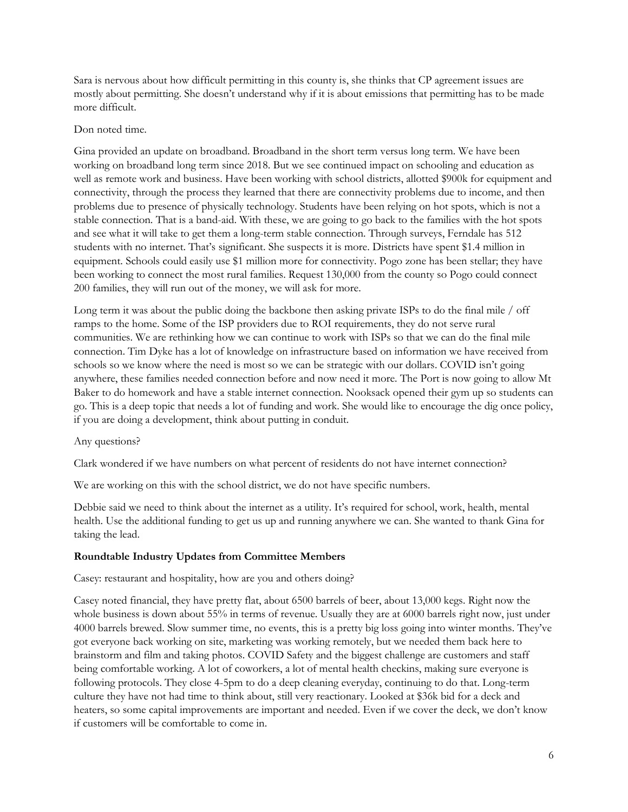Sara is nervous about how difficult permitting in this county is, she thinks that CP agreement issues are mostly about permitting. She doesn't understand why if it is about emissions that permitting has to be made more difficult.

### Don noted time.

Gina provided an update on broadband. Broadband in the short term versus long term. We have been working on broadband long term since 2018. But we see continued impact on schooling and education as well as remote work and business. Have been working with school districts, allotted \$900k for equipment and connectivity, through the process they learned that there are connectivity problems due to income, and then problems due to presence of physically technology. Students have been relying on hot spots, which is not a stable connection. That is a band-aid. With these, we are going to go back to the families with the hot spots and see what it will take to get them a long-term stable connection. Through surveys, Ferndale has 512 students with no internet. That's significant. She suspects it is more. Districts have spent \$1.4 million in equipment. Schools could easily use \$1 million more for connectivity. Pogo zone has been stellar; they have been working to connect the most rural families. Request 130,000 from the county so Pogo could connect 200 families, they will run out of the money, we will ask for more.

Long term it was about the public doing the backbone then asking private ISPs to do the final mile / off ramps to the home. Some of the ISP providers due to ROI requirements, they do not serve rural communities. We are rethinking how we can continue to work with ISPs so that we can do the final mile connection. Tim Dyke has a lot of knowledge on infrastructure based on information we have received from schools so we know where the need is most so we can be strategic with our dollars. COVID isn't going anywhere, these families needed connection before and now need it more. The Port is now going to allow Mt Baker to do homework and have a stable internet connection. Nooksack opened their gym up so students can go. This is a deep topic that needs a lot of funding and work. She would like to encourage the dig once policy, if you are doing a development, think about putting in conduit.

#### Any questions?

Clark wondered if we have numbers on what percent of residents do not have internet connection?

We are working on this with the school district, we do not have specific numbers.

Debbie said we need to think about the internet as a utility. It's required for school, work, health, mental health. Use the additional funding to get us up and running anywhere we can. She wanted to thank Gina for taking the lead.

## **Roundtable Industry Updates from Committee Members**

Casey: restaurant and hospitality, how are you and others doing?

Casey noted financial, they have pretty flat, about 6500 barrels of beer, about 13,000 kegs. Right now the whole business is down about 55% in terms of revenue. Usually they are at 6000 barrels right now, just under 4000 barrels brewed. Slow summer time, no events, this is a pretty big loss going into winter months. They've got everyone back working on site, marketing was working remotely, but we needed them back here to brainstorm and film and taking photos. COVID Safety and the biggest challenge are customers and staff being comfortable working. A lot of coworkers, a lot of mental health checkins, making sure everyone is following protocols. They close 4-5pm to do a deep cleaning everyday, continuing to do that. Long-term culture they have not had time to think about, still very reactionary. Looked at \$36k bid for a deck and heaters, so some capital improvements are important and needed. Even if we cover the deck, we don't know if customers will be comfortable to come in.